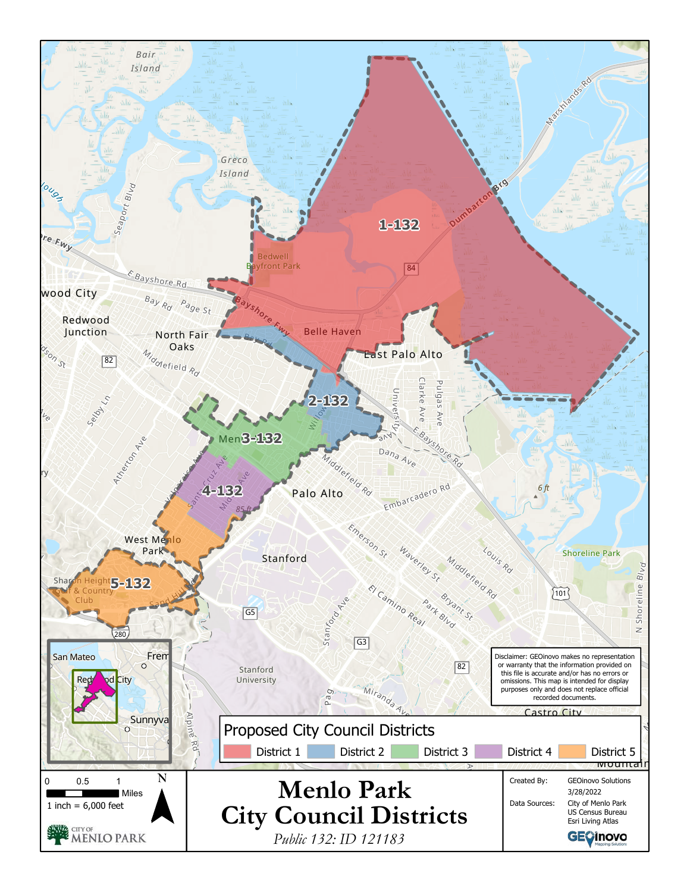